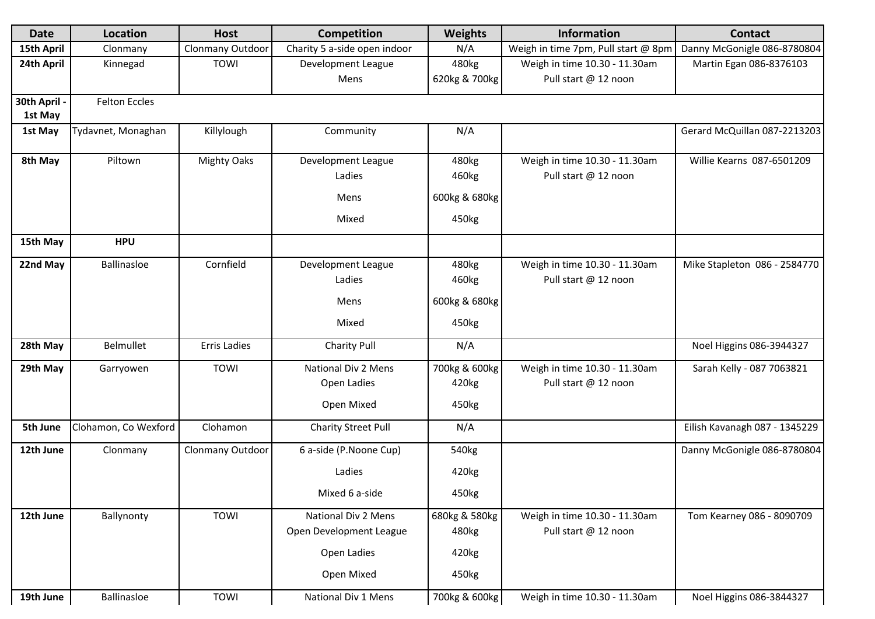| <b>Date</b>  | <b>Location</b>      | <b>Host</b>         | <b>Competition</b>           | Weights           | <b>Information</b>                  | <b>Contact</b>                |
|--------------|----------------------|---------------------|------------------------------|-------------------|-------------------------------------|-------------------------------|
| 15th April   | Clonmany             | Clonmany Outdoor    | Charity 5 a-side open indoor | N/A               | Weigh in time 7pm, Pull start @ 8pm | Danny McGonigle 086-8780804   |
| 24th April   | Kinnegad             | TOWI                | Development League           | 480kg             | Weigh in time 10.30 - 11.30am       | Martin Egan 086-8376103       |
|              |                      |                     | Mens                         | 620kg & 700kg     | Pull start @ 12 noon                |                               |
| 30th April - | <b>Felton Eccles</b> |                     |                              |                   |                                     |                               |
| 1st May      |                      |                     |                              |                   |                                     |                               |
| 1st May      | Tydavnet, Monaghan   | Killylough          | Community                    | N/A               |                                     | Gerard McQuillan 087-2213203  |
| 8th May      | Piltown              | <b>Mighty Oaks</b>  | Development League           | 480kg             | Weigh in time 10.30 - 11.30am       | Willie Kearns 087-6501209     |
|              |                      |                     | Ladies                       | 460kg             | Pull start @ 12 noon                |                               |
|              |                      |                     | Mens                         | 600kg & 680kg     |                                     |                               |
|              |                      |                     | Mixed                        | 450kg             |                                     |                               |
| 15th May     | <b>HPU</b>           |                     |                              |                   |                                     |                               |
| 22nd May     | Ballinasloe          | Cornfield           | Development League           | 480kg             | Weigh in time 10.30 - 11.30am       | Mike Stapleton 086 - 2584770  |
|              |                      |                     | Ladies                       | 460kg             | Pull start @ 12 noon                |                               |
|              |                      |                     | Mens                         | 600kg & 680kg     |                                     |                               |
|              |                      |                     | Mixed                        | 450kg             |                                     |                               |
| 28th May     | Belmullet            | <b>Erris Ladies</b> | <b>Charity Pull</b>          | N/A               |                                     | Noel Higgins 086-3944327      |
| 29th May     | Garryowen            | TOWI                | National Div 2 Mens          | 700kg & 600kg     | Weigh in time 10.30 - 11.30am       | Sarah Kelly - 087 7063821     |
|              |                      |                     | Open Ladies                  | 420kg             | Pull start @ 12 noon                |                               |
|              |                      |                     | Open Mixed                   | 450kg             |                                     |                               |
| 5th June     | Clohamon, Co Wexford | Clohamon            | <b>Charity Street Pull</b>   | N/A               |                                     | Eilish Kavanagh 087 - 1345229 |
| 12th June    | Clonmany             | Clonmany Outdoor    | 6 a-side (P.Noone Cup)       | 540 <sub>kg</sub> |                                     | Danny McGonigle 086-8780804   |
|              |                      |                     | Ladies                       | 420kg             |                                     |                               |
|              |                      |                     | Mixed 6 a-side               | 450kg             |                                     |                               |
|              |                      |                     |                              |                   |                                     |                               |
| 12th June    | Ballynonty           | TOWI                | National Div 2 Mens          | 680kg & 580kg     | Weigh in time 10.30 - 11.30am       | Tom Kearney 086 - 8090709     |
|              |                      |                     | Open Development League      | 480kg             | Pull start @ 12 noon                |                               |
|              |                      |                     | Open Ladies                  | 420kg             |                                     |                               |
|              |                      |                     | Open Mixed                   | 450kg             |                                     |                               |
| 19th June    | Ballinasloe          | TOWI                | National Div 1 Mens          | 700kg & 600kg     | Weigh in time 10.30 - 11.30am       | Noel Higgins 086-3844327      |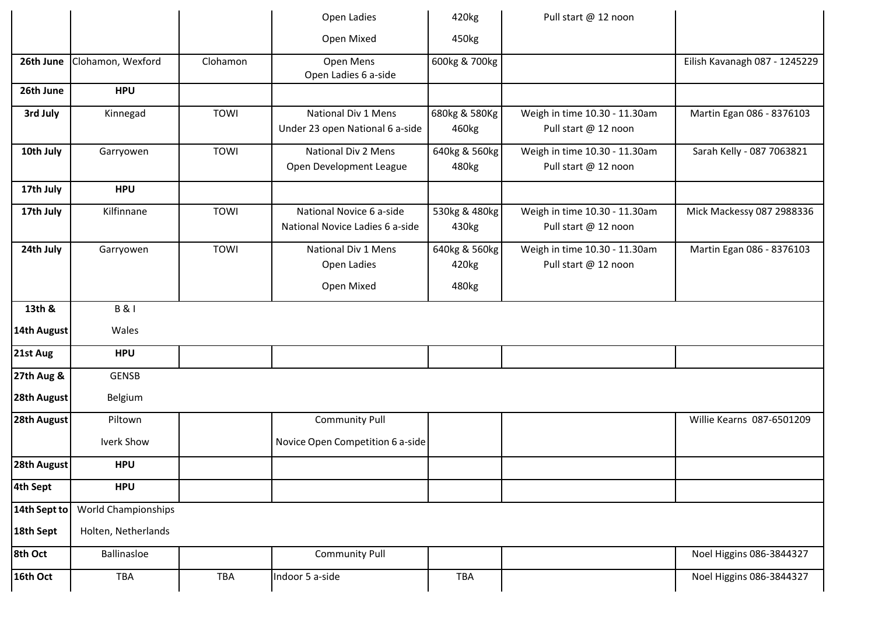|              |                            |             | Open Ladies                                                 | 420kg                           | Pull start @ 12 noon                                  |                               |
|--------------|----------------------------|-------------|-------------------------------------------------------------|---------------------------------|-------------------------------------------------------|-------------------------------|
|              |                            |             | Open Mixed                                                  | 450kg                           |                                                       |                               |
| 26th June    | Clohamon, Wexford          | Clohamon    | Open Mens<br>Open Ladies 6 a-side                           | 600kg & 700kg                   |                                                       | Eilish Kavanagh 087 - 1245229 |
| 26th June    | <b>HPU</b>                 |             |                                                             |                                 |                                                       |                               |
| 3rd July     | Kinnegad                   | TOWI        | National Div 1 Mens<br>Under 23 open National 6 a-side      | 680kg & 580Kg<br>460kg          | Weigh in time 10.30 - 11.30am<br>Pull start @ 12 noon | Martin Egan 086 - 8376103     |
| 10th July    | Garryowen                  | <b>TOWI</b> | National Div 2 Mens<br>Open Development League              | 640kg & 560kg<br>480kg          | Weigh in time 10.30 - 11.30am<br>Pull start @ 12 noon | Sarah Kelly - 087 7063821     |
| 17th July    | <b>HPU</b>                 |             |                                                             |                                 |                                                       |                               |
| 17th July    | Kilfinnane                 | <b>TOWI</b> | National Novice 6 a-side<br>National Novice Ladies 6 a-side | 530kg & 480kg<br>430kg          | Weigh in time 10.30 - 11.30am<br>Pull start @ 12 noon | Mick Mackessy 087 2988336     |
| 24th July    | Garryowen                  | <b>TOWI</b> | National Div 1 Mens<br>Open Ladies<br>Open Mixed            | 640kg & 560kg<br>420kg<br>480kg | Weigh in time 10.30 - 11.30am<br>Pull start @ 12 noon | Martin Egan 086 - 8376103     |
| 13th &       | <b>B&amp;I</b>             |             |                                                             |                                 |                                                       |                               |
| 14th August  | Wales                      |             |                                                             |                                 |                                                       |                               |
| 21st Aug     | <b>HPU</b>                 |             |                                                             |                                 |                                                       |                               |
| 27th Aug &   | <b>GENSB</b>               |             |                                                             |                                 |                                                       |                               |
| 28th August  | Belgium                    |             |                                                             |                                 |                                                       |                               |
| 28th August  | Piltown                    |             | <b>Community Pull</b>                                       |                                 |                                                       | Willie Kearns 087-6501209     |
|              | Iverk Show                 |             | Novice Open Competition 6 a-side                            |                                 |                                                       |                               |
| 28th August  | <b>HPU</b>                 |             |                                                             |                                 |                                                       |                               |
| 4th Sept     | <b>HPU</b>                 |             |                                                             |                                 |                                                       |                               |
| 14th Sept to | <b>World Championships</b> |             |                                                             |                                 |                                                       |                               |
| 18th Sept    | Holten, Netherlands        |             |                                                             |                                 |                                                       |                               |
| 8th Oct      | Ballinasloe                |             | <b>Community Pull</b>                                       |                                 |                                                       | Noel Higgins 086-3844327      |
| 16th Oct     | TBA                        | <b>TBA</b>  | Indoor 5 a-side                                             | TBA                             |                                                       | Noel Higgins 086-3844327      |